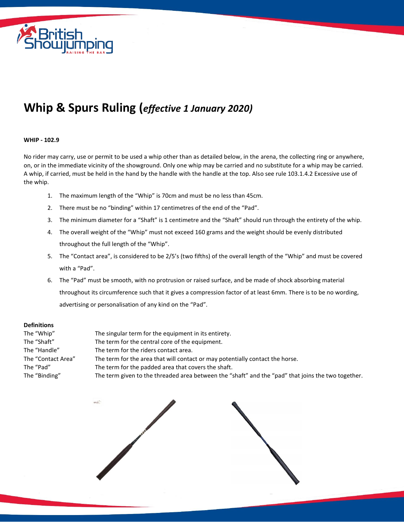

## **Whip & Spurs Ruling (***effective 1 January 2020)*

## **WHIP - 102.9**

No rider may carry, use or permit to be used a whip other than as detailed below, in the arena, the collecting ring or anywhere, on, or in the immediate vicinity of the showground. Only one whip may be carried and no substitute for a whip may be carried. A whip, if carried, must be held in the hand by the handle with the handle at the top. Also see rule 103.1.4.2 Excessive use of the whip.

- 1. The maximum length of the "Whip" is 70cm and must be no less than 45cm.
- 2. There must be no "binding" within 17 centimetres of the end of the "Pad".
- 3. The minimum diameter for a "Shaft" is 1 centimetre and the "Shaft" should run through the entirety of the whip.
- 4. The overall weight of the "Whip" must not exceed 160 grams and the weight should be evenly distributed throughout the full length of the "Whip".
- 5. The "Contact area", is considered to be 2/5's (two fifths) of the overall length of the "Whip" and must be covered with a "Pad".
- 6. The "Pad" must be smooth, with no protrusion or raised surface, and be made of shock absorbing material throughout its circumference such that it gives a compression factor of at least 6mm. There is to be no wording, advertising or personalisation of any kind on the "Pad".

## **Definitions**

| The "Whip"         | The singular term for the equipment in its entirety.                                               |
|--------------------|----------------------------------------------------------------------------------------------------|
| The "Shaft"        | The term for the central core of the equipment.                                                    |
| The "Handle"       | The term for the riders contact area.                                                              |
| The "Contact Area" | The term for the area that will contact or may potentially contact the horse.                      |
| The "Pad"          | The term for the padded area that covers the shaft.                                                |
| The "Binding"      | The term given to the threaded area between the "shaft" and the "pad" that joins the two together. |